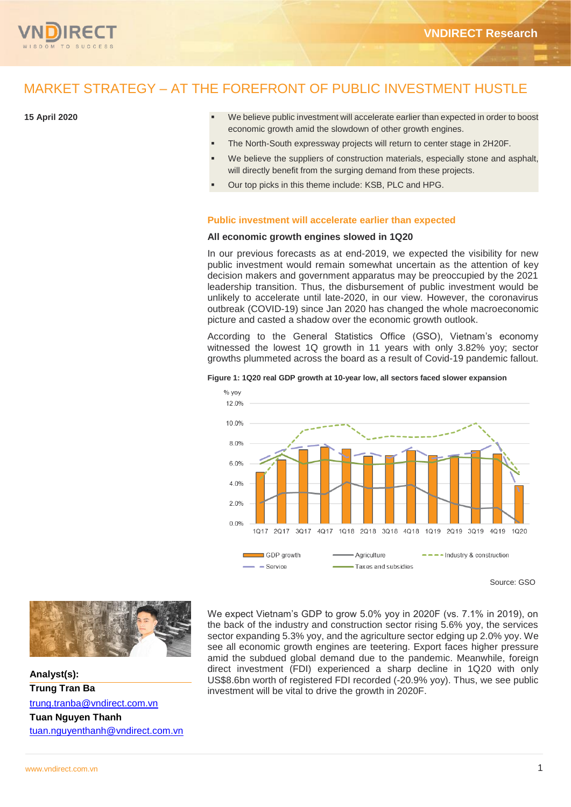

# MARKET STRATEGY – AT THE FOREFRONT OF PUBLIC INVESTMENT HUSTLE

# **15 April 2020**

- We believe public investment will accelerate earlier than expected in order to boost economic growth amid the slowdown of other growth engines.
- The North-South expressway projects will return to center stage in 2H20F.
- We believe the suppliers of construction materials, especially stone and asphalt, will directly benefit from the surging demand from these projects.
- Our top picks in this theme include: KSB, PLC and HPG.

# **Public investment will accelerate earlier than expected**

# **All economic growth engines slowed in 1Q20**

In our previous forecasts as at end-2019, we expected the visibility for new public investment would remain somewhat uncertain as the attention of key decision makers and government apparatus may be preoccupied by the 2021 leadership transition. Thus, the disbursement of public investment would be unlikely to accelerate until late-2020, in our view. However, the coronavirus outbreak (COVID-19) since Jan 2020 has changed the whole macroeconomic picture and casted a shadow over the economic growth outlook.

According to the General Statistics Office (GSO), Vietnam's economy witnessed the lowest 1Q growth in 11 years with only 3.82% yoy; sector growths plummeted across the board as a result of Covid-19 pandemic fallout.



#### **Figure 1: 1Q20 real GDP growth at 10-year low, all sectors faced slower expansion**



**Analyst(s): Trung Tran Ba**  [trung.tranba@vndirect.com.vn](mailto:trung.tranba@vndirect.com.vn) **Tuan Nguyen Thanh** [tuan.nguyenthanh@vndirect.com.vn](mailto:tuan.nguyenthanh@vndirect.com.vn) We expect Vietnam's GDP to grow 5.0% yoy in 2020F (vs. 7.1% in 2019), on the back of the industry and construction sector rising 5.6% yoy, the services sector expanding 5.3% yoy, and the agriculture sector edging up 2.0% yoy. We see all economic growth engines are teetering. Export faces higher pressure amid the subdued global demand due to the pandemic. Meanwhile, foreign direct investment (FDI) experienced a sharp decline in 1Q20 with only US\$8.6bn worth of registered FDI recorded (-20.9% yoy). Thus, we see public investment will be vital to drive the growth in 2020F.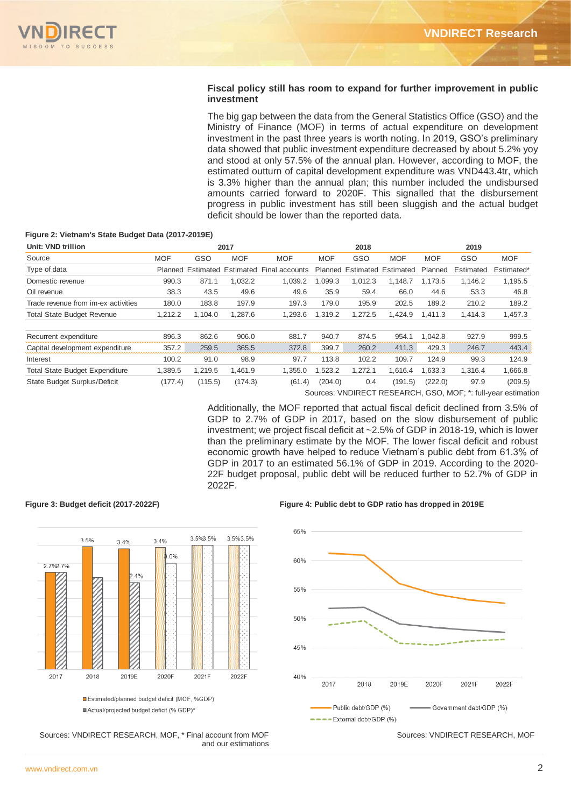# **Fiscal policy still has room to expand for further improvement in public investment**

The big gap between the data from the General Statistics Office (GSO) and the Ministry of Finance (MOF) in terms of actual expenditure on development investment in the past three years is worth noting. In 2019, GSO's preliminary data showed that public investment expenditure decreased by about 5.2% yoy and stood at only 57.5% of the annual plan. However, according to MOF, the estimated outturn of capital development expenditure was VND443.4tr, which is 3.3% higher than the annual plan; this number included the undisbursed amounts carried forward to 2020F. This signalled that the disbursement progress in public investment has still been sluggish and the actual budget deficit should be lower than the reported data.

# **Figure 2: Vietnam's State Budget Data (2017-2019E)**

| Unit: VND trillion                    | 2017       |                             |            | 2018           |            |                             | 2019       |            |           |            |
|---------------------------------------|------------|-----------------------------|------------|----------------|------------|-----------------------------|------------|------------|-----------|------------|
| Source                                | <b>MOF</b> | GSO                         | <b>MOF</b> | <b>MOF</b>     | <b>MOF</b> | GSO                         | <b>MOF</b> | <b>MOF</b> | GSO       | <b>MOF</b> |
| Type of data                          |            | Planned Estimated Estimated |            | Final accounts |            | Planned Estimated Estimated |            | Planned    | Estimated | Estimated* |
| Domestic revenue                      | 990.3      | 871.1                       | 1.032.2    | 1.039.2        | .099.3     | 1.012.3                     | 1.148.7    | 1.173.5    | 1.146.2   | 1,195.5    |
| Oil revenue                           | 38.3       | 43.5                        | 49.6       | 49.6           | 35.9       | 59.4                        | 66.0       | 44.6       | 53.3      | 46.8       |
| Trade revenue from im-ex activities   | 180.0      | 183.8                       | 197.9      | 197.3          | 179.0      | 195.9                       | 202.5      | 189.2      | 210.2     | 189.2      |
| <b>Total State Budget Revenue</b>     | 1,212.2    | 1,104.0                     | 1,287.6    | 1,293.6        | 1,319.2    | 1,272.5                     | 1,424.9    | 1.411.3    | 1,414.3   | 1,457.3    |
| Recurrent expenditure                 | 896.3      | 862.6                       | 906.0      | 881.7          | 940.7      | 874.5                       | 954.1      | 1.042.8    | 927.9     | 999.5      |
| Capital development expenditure       | 357.2      | 259.5                       | 365.5      | 372.8          | 399.7      | 260.2                       | 411.3      | 429.3      | 246.7     | 443.4      |
| Interest                              | 100.2      | 91.0                        | 98.9       | 97.7           | 113.8      | 102.2                       | 109.7      | 124.9      | 99.3      | 124.9      |
| <b>Total State Budget Expenditure</b> | 1.389.5    | 1.219.5                     | I.461.9    | 1.355.0        | .523.2     | 1.272.1                     | 1.616.4    | .633.3     | 1.316.4   | 1,666.8    |
| State Budget Surplus/Deficit          | (177.4)    | (115.5)                     | (174.3)    | (61.4)         | (204.0)    | 0.4                         | (191.5)    | (222.0)    | 97.9      | (209.5)    |

Sources: VNDIRECT RESEARCH, GSO, MOF; \*: full-year estimation

Additionally, the MOF reported that actual fiscal deficit declined from 3.5% of GDP to 2.7% of GDP in 2017, based on the slow disbursement of public investment; we project fiscal deficit at ~2.5% of GDP in 2018-19, which is lower than the preliminary estimate by the MOF. The lower fiscal deficit and robust economic growth have helped to reduce Vietnam's public debt from 61.3% of GDP in 2017 to an estimated 56.1% of GDP in 2019. According to the 2020- 22F budget proposal, public debt will be reduced further to 52.7% of GDP in 2022F.

#### **Figure 3: Budget deficit (2017-2022F) Figure 4: Public debt to GDP ratio has dropped in 2019E**



Estimated/planned budget deficit (MOF, %GDP) ■Actual/projected budget deficit (% GDP)\*



 Sources: VNDIRECT RESEARCH, MOF, \* Final account from MOF and our estimations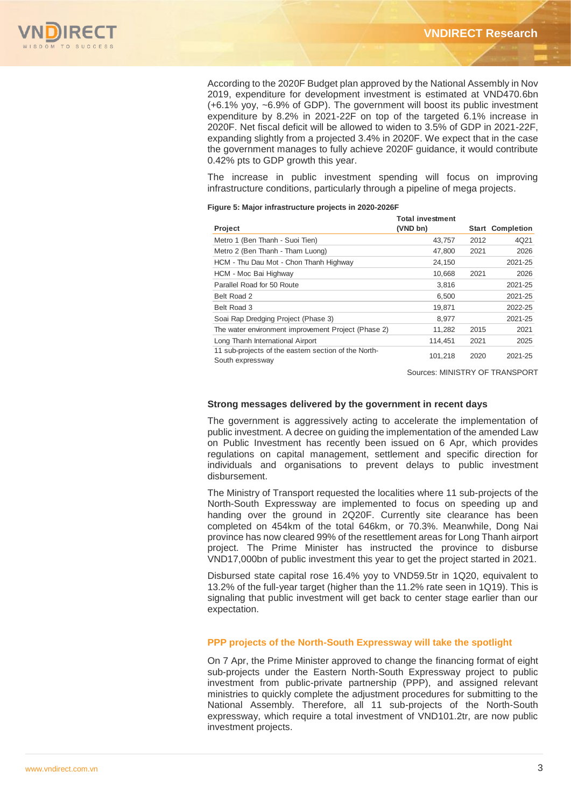

According to the 2020F Budget plan approved by the National Assembly in Nov 2019, expenditure for development investment is estimated at VND470.6bn (+6.1% yoy, ~6.9% of GDP). The government will boost its public investment expenditure by 8.2% in 2021-22F on top of the targeted 6.1% increase in 2020F. Net fiscal deficit will be allowed to widen to 3.5% of GDP in 2021-22F, expanding slightly from a projected 3.4% in 2020F. We expect that in the case the government manages to fully achieve 2020F guidance, it would contribute 0.42% pts to GDP growth this year.

The increase in public investment spending will focus on improving infrastructure conditions, particularly through a pipeline of mega projects.

#### **Figure 5: Major infrastructure projects in 2020-2026F**

|                                                                          | <b>Total investment</b> |       |                   |
|--------------------------------------------------------------------------|-------------------------|-------|-------------------|
| <b>Project</b>                                                           | (VND bn)                | Start | <b>Completion</b> |
| Metro 1 (Ben Thanh - Suoi Tien)                                          | 43,757                  | 2012  | 4Q21              |
| Metro 2 (Ben Thanh - Tham Luong)                                         | 47,800                  | 2021  | 2026              |
| HCM - Thu Dau Mot - Chon Thanh Highway                                   | 24,150                  |       | 2021-25           |
| HCM - Moc Bai Highway                                                    | 10.668                  | 2021  | 2026              |
| Parallel Road for 50 Route                                               | 3,816                   |       | 2021-25           |
| Belt Road 2                                                              | 6,500                   |       | 2021-25           |
| Belt Road 3                                                              | 19,871                  |       | 2022-25           |
| Soai Rap Dredging Project (Phase 3)                                      | 8,977                   |       | 2021-25           |
| The water environment improvement Project (Phase 2)                      | 11,282                  | 2015  | 2021              |
| Long Thanh International Airport                                         | 114,451                 | 2021  | 2025              |
| 11 sub-projects of the eastern section of the North-<br>South expressway | 101,218                 | 2020  | 2021-25           |

Sources: MINISTRY OF TRANSPORT

# **Strong messages delivered by the government in recent days**

The government is aggressively acting to accelerate the implementation of public investment. A decree on guiding the implementation of the amended Law on Public Investment has recently been issued on 6 Apr, which provides regulations on capital management, settlement and specific direction for individuals and organisations to prevent delays to public investment disbursement.

The Ministry of Transport requested the localities where 11 sub-projects of the North-South Expressway are implemented to focus on speeding up and handing over the ground in 2Q20F. Currently site clearance has been completed on 454km of the total 646km, or 70.3%. Meanwhile, Dong Nai province has now cleared 99% of the resettlement areas for Long Thanh airport project. The Prime Minister has instructed the province to disburse VND17,000bn of public investment this year to get the project started in 2021.

Disbursed state capital rose 16.4% yoy to VND59.5tr in 1Q20, equivalent to 13.2% of the full-year target (higher than the 11.2% rate seen in 1Q19). This is signaling that public investment will get back to center stage earlier than our expectation.

# **PPP projects of the North-South Expressway will take the spotlight**

On 7 Apr, the Prime Minister approved to change the financing format of eight sub-projects under the Eastern North-South Expressway project to public investment from public-private partnership (PPP), and assigned relevant ministries to quickly complete the adjustment procedures for submitting to the National Assembly. Therefore, all 11 sub-projects of the North-South expressway, which require a total investment of VND101.2tr, are now public investment projects.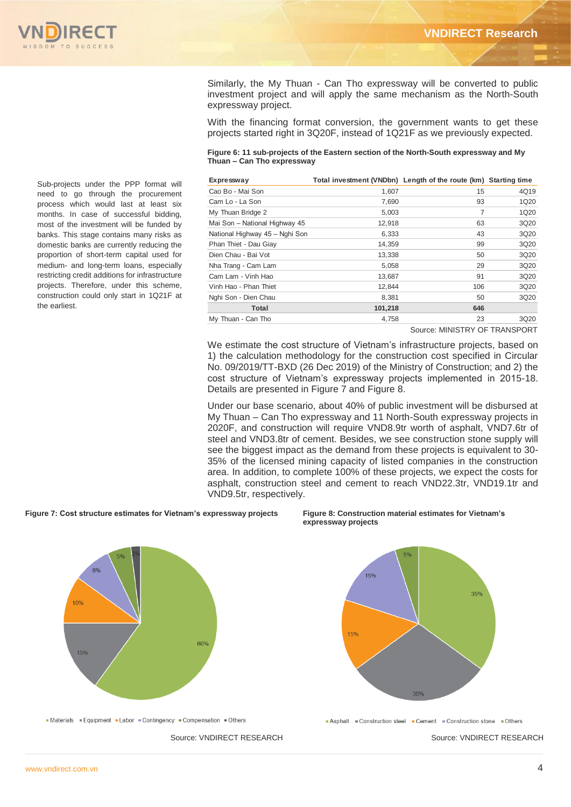

Similarly, the My Thuan - Can Tho expressway will be converted to public investment project and will apply the same mechanism as the North-South expressway project.

With the financing format conversion, the government wants to get these projects started right in 3Q20F, instead of 1Q21F as we previously expected.

#### **Figure 6: 11 sub-projects of the Eastern section of the North-South expressway and My Thuan – Can Tho expressway**

| Expressway                     | Total investment (VNDbn) Length of the route (km) Starting time |     |      |
|--------------------------------|-----------------------------------------------------------------|-----|------|
| Cao Bo - Mai Son               | 1.607                                                           | 15  | 4Q19 |
| Cam Lo - La Son                | 7,690                                                           | 93  | 1Q20 |
| My Thuan Bridge 2              | 5,003                                                           | 7   | 1Q20 |
| Mai Son - National Highway 45  | 12,918                                                          | 63  | 3Q20 |
| National Highway 45 - Nghi Son | 6,333                                                           | 43  | 3Q20 |
| Phan Thiet - Dau Giay          | 14,359                                                          | 99  | 3Q20 |
| Dien Chau - Bai Vot            | 13,338                                                          | 50  | 3Q20 |
| Nha Trang - Cam Lam            | 5,058                                                           | 29  | 3Q20 |
| Cam Lam - Vinh Hao             | 13.687                                                          | 91  | 3Q20 |
| Vinh Hao - Phan Thiet          | 12.844                                                          | 106 | 3Q20 |
| Nghi Son - Dien Chau           | 8,381                                                           | 50  | 3Q20 |
| Total                          | 101,218                                                         | 646 |      |
| My Thuan - Can Tho             | 4,758                                                           | 23  | 3Q20 |
|                                |                                                                 |     |      |

Source: MINISTRY OF TRANSPORT

We estimate the cost structure of Vietnam's infrastructure projects, based on 1) the calculation methodology for the construction cost specified in Circular No. 09/2019/TT-BXD (26 Dec 2019) of the Ministry of Construction; and 2) the cost structure of Vietnam's expressway projects implemented in 2015-18. Details are presented in Figure 7 and Figure 8.

Under our base scenario, about 40% of public investment will be disbursed at My Thuan – Can Tho expressway and 11 North-South expressway projects in 2020F, and construction will require VND8.9tr worth of asphalt, VND7.6tr of steel and VND3.8tr of cement. Besides, we see construction stone supply will see the biggest impact as the demand from these projects is equivalent to 30- 35% of the licensed mining capacity of listed companies in the construction area. In addition, to complete 100% of these projects, we expect the costs for asphalt, construction steel and cement to reach VND22.3tr, VND19.1tr and VND9.5tr, respectively.

**Figure 7: Cost structure estimates for Vietnam's expressway projects Figure 8: Construction material estimates for Vietnam's** 

8%

10%

15%





- Materials - Equipment - Labor - Contingency - Compensation - Others

60%

Source: VNDIRECT RESEARCH Source: VNDIRECT RESEARCH

Asphalt Construction steel Cement Construction stone Others

Sub-projects under the PPP format will need to go through the procurement process which would last at least six months. In case of successful bidding, most of the investment will be funded by banks. This stage contains many risks as domestic banks are currently reducing the proportion of short-term capital used for medium- and long-term loans, especially restricting credit additions for infrastructure projects. Therefore, under this scheme, construction could only start in 1Q21F at the earliest.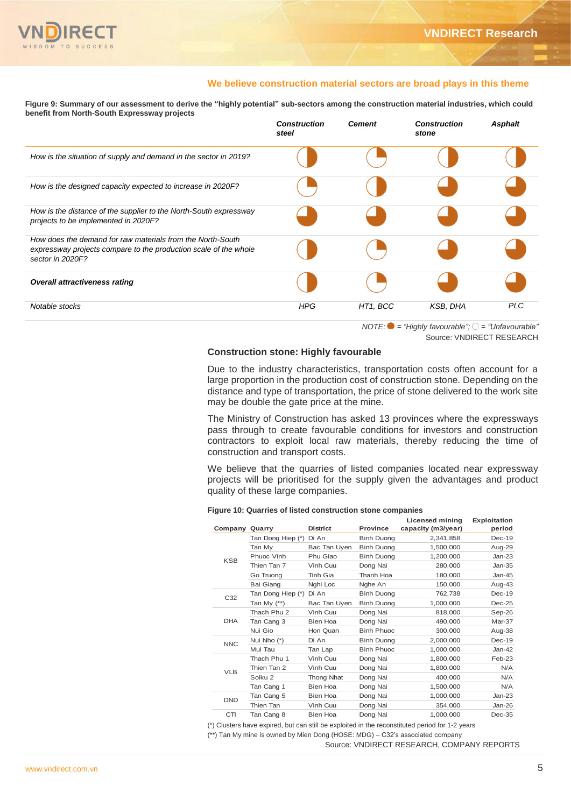

# **We believe construction material sectors are broad plays in this theme**

**Figure 9: Summary of our assessment to derive the "highly potential" sub-sectors among the construction material industries, which could benefit from North-South Expressway projects**

|                                                                                                                                                    | <b>Construction</b><br>steel | <b>Cement</b> | <b>Construction</b><br>stone                                    | <b>Asphalt</b> |
|----------------------------------------------------------------------------------------------------------------------------------------------------|------------------------------|---------------|-----------------------------------------------------------------|----------------|
| How is the situation of supply and demand in the sector in 2019?                                                                                   |                              |               |                                                                 |                |
| How is the designed capacity expected to increase in 2020F?                                                                                        |                              |               |                                                                 |                |
| How is the distance of the supplier to the North-South expressway<br>projects to be implemented in 2020F?                                          |                              |               |                                                                 |                |
| How does the demand for raw materials from the North-South<br>expressway projects compare to the production scale of the whole<br>sector in 2020F? |                              |               |                                                                 |                |
| <b>Overall attractiveness rating</b>                                                                                                               |                              |               |                                                                 |                |
| Notable stocks                                                                                                                                     | <b>HPG</b>                   | HT1, BCC      | <b>KSB, DHA</b>                                                 | <b>PLC</b>     |
|                                                                                                                                                    |                              |               | NOTE: $\bullet$ = "Highly favourable": $\circ$ = "Unfavourable" |                |

Source: VNDIRECT RESEARCH

# **Construction stone: Highly favourable**

Due to the industry characteristics, transportation costs often account for a large proportion in the production cost of construction stone. Depending on the distance and type of transportation, the price of stone delivered to the work site may be double the gate price at the mine.

The Ministry of Construction has asked 13 provinces where the expressways pass through to create favourable conditions for investors and construction contractors to exploit local raw materials, thereby reducing the time of construction and transport costs.

We believe that the quarries of listed companies located near expressway projects will be prioritised for the supply given the advantages and product quality of these large companies.

### **Figure 10: Quarries of listed construction stone companies**

| Company Quarry |                    | <b>District</b> | Province          | Licensed mining<br>capacity (m3/year)                                                                                                                                        | Exploitation<br>period |
|----------------|--------------------|-----------------|-------------------|------------------------------------------------------------------------------------------------------------------------------------------------------------------------------|------------------------|
|                | Tan Dong Hiep (*)  | Di An           | <b>Binh Duong</b> | 2,341,858                                                                                                                                                                    | $Dec-19$               |
|                | Tan My             | Bac Tan Uyen    | <b>Binh Duong</b> | 1,500,000                                                                                                                                                                    | Aug-29                 |
| <b>KSB</b>     | Phuoc Vinh         | Phu Giao        | <b>Binh Duong</b> | 1,200,000                                                                                                                                                                    | $Jan-23$               |
|                | Thien Tan 7        | Vinh Cuu        | Dong Nai          | 280.000                                                                                                                                                                      | Jan-35                 |
|                | Go Truong          | Tinh Gia        | Thanh Hoa         | 180,000                                                                                                                                                                      | Jan-45                 |
|                | <b>Bai Giang</b>   | Nghi Loc        | Nghe An           | 150,000                                                                                                                                                                      | Aug-43                 |
| C32            | Tan Dong Hiep (*)  | Di An           | <b>Binh Duong</b> | 762,738                                                                                                                                                                      | $Dec-19$               |
|                | Tan My $(**)$      | Bac Tan Uyen    | <b>Binh Duong</b> | 1,000,000                                                                                                                                                                    | $Dec-25$               |
|                | Thach Phu 2        | Vinh Cuu        | Dong Nai          | 818,000                                                                                                                                                                      | Sep-26                 |
| <b>DHA</b>     | Tan Cang 3         | Bien Hoa        | Dong Nai          | 490.000                                                                                                                                                                      | Mar-37                 |
|                | Nui Gio            | Hon Quan        | <b>Binh Phuoc</b> | 300,000                                                                                                                                                                      | Aug-38                 |
| <b>NNC</b>     | Nui Nho (*)        | Di An           | <b>Binh Duong</b> | 2.000.000                                                                                                                                                                    | $Dec-19$               |
|                | Mui Tau            | Tan Lap         | <b>Binh Phuoc</b> | 1.000.000                                                                                                                                                                    | Jan-42                 |
|                | Thach Phu 1        | Vinh Cuu        | Dong Nai          | 1.800.000                                                                                                                                                                    | Feb-23                 |
| <b>VLB</b>     | Thien Tan 2        | Vinh Cuu        | Dong Nai          | 1.800.000                                                                                                                                                                    | N/A                    |
|                | Solku <sub>2</sub> | Thong Nhat      | Dong Nai          | 400.000                                                                                                                                                                      | N/A                    |
|                | Tan Cang 1         | <b>Bien Hoa</b> | Dong Nai          | 1.500.000                                                                                                                                                                    | N/A                    |
| <b>DND</b>     | Tan Cang 5         | Bien Hoa        | Dong Nai          | 1.000.000                                                                                                                                                                    | $Jan-23$               |
|                | Thien Tan          | Vinh Cuu        | Dong Nai          | 354,000                                                                                                                                                                      | Jan-26                 |
| <b>CTI</b>     | Tan Cang 8         | Bien Hoa        | Dong Nai          | 1,000,000                                                                                                                                                                    | $Dec-35$               |
|                |                    |                 |                   | ) Clusters have expired, but can still be exploited in the reconstituted period for 1-2 years<br>*) Tan My mine is owned by Mien Dong (HOSE: MDG) – C32's associated company |                        |
|                |                    |                 |                   | Source: VNDIRECT RESEARCH, COMPANY REPORTS                                                                                                                                   |                        |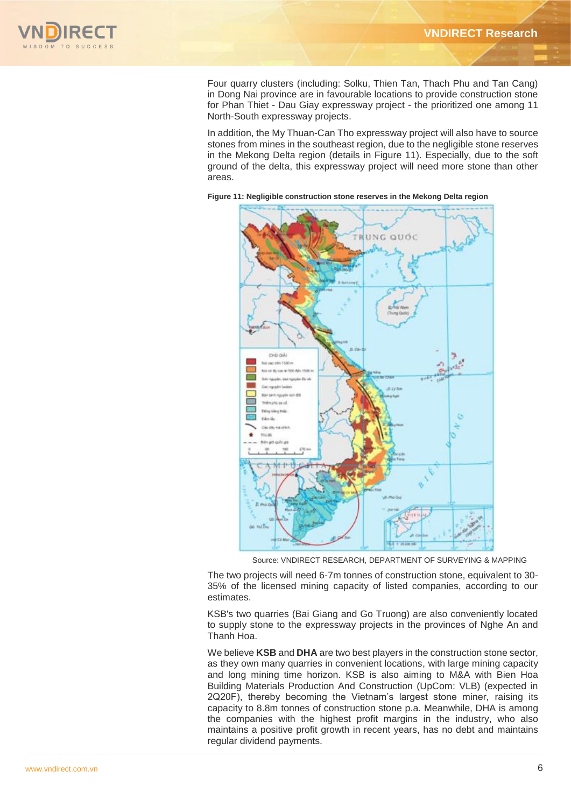

Four quarry clusters (including: Solku, Thien Tan, Thach Phu and Tan Cang) in Dong Nai province are in favourable locations to provide construction stone for Phan Thiet - Dau Giay expressway project - the prioritized one among 11 North-South expressway projects.

In addition, the My Thuan-Can Tho expressway project will also have to source stones from mines in the southeast region, due to the negligible stone reserves in the Mekong Delta region (details in Figure 11). Especially, due to the soft ground of the delta, this expressway project will need more stone than other areas.



**Figure 11: Negligible construction stone reserves in the Mekong Delta region**

Source: VNDIRECT RESEARCH, DEPARTMENT OF SURVEYING & MAPPING

The two projects will need 6-7m tonnes of construction stone, equivalent to 30- 35% of the licensed mining capacity of listed companies, according to our estimates.

KSB's two quarries (Bai Giang and Go Truong) are also conveniently located to supply stone to the expressway projects in the provinces of Nghe An and Thanh Hoa.

We believe **KSB** and **DHA** are two best players in the construction stone sector, as they own many quarries in convenient locations, with large mining capacity and long mining time horizon. KSB is also aiming to M&A with Bien Hoa Building Materials Production And Construction (UpCom: VLB) (expected in 2Q20F), thereby becoming the Vietnam's largest stone miner, raising its capacity to 8.8m tonnes of construction stone p.a. Meanwhile, DHA is among the companies with the highest profit margins in the industry, who also maintains a positive profit growth in recent years, has no debt and maintains regular dividend payments.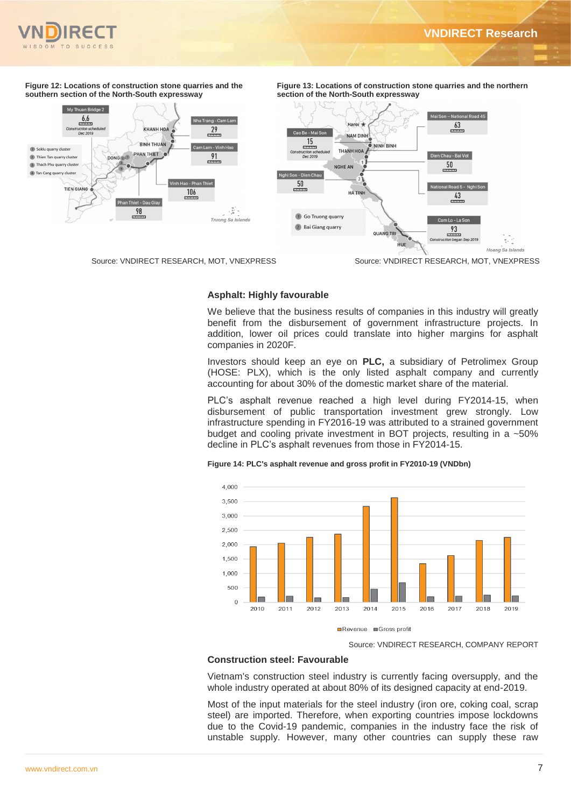n Chau - Rai Vot

al Road 5 - Nghi Son

 $\mathbf{e}_i$  .

Hoang<sup>'</sup>Sa Islands

 $43$ 

Cam Lo - La So

 $\frac{93}{1}$ 

 $50\,$ 



**Figure 12: Locations of construction stone quarries and the southern section of the North-South expressway** 



**section of the North-South expressway** .<br>Jai Son – National Road 45  $rac{63}{2}$ io Bo - Mai S NAM DINH  $\frac{15}{2}$ THANH HO

**Figure 13: Locations of construction stone quarries and the northern** 



We believe that the business results of companies in this industry will greatly benefit from the disbursement of government infrastructure projects. In addition, lower oil prices could translate into higher margins for asphalt companies in 2020F.

OLIANG TR

HUE

Investors should keep an eye on **PLC,** a subsidiary of Petrolimex Group (HOSE: PLX), which is the only listed asphalt company and currently accounting for about 30% of the domestic market share of the material.

PLC's asphalt revenue reached a high level during FY2014-15, when disbursement of public transportation investment grew strongly. Low infrastructure spending in FY2016-19 was attributed to a strained government budget and cooling private investment in BOT projects, resulting in a ~50% decline in PLC's asphalt revenues from those in FY2014-15.



Source: VNDIRECT RESEARCH, MOT, VNEXPRESS Source: VNDIRECT RESEARCH, MOT, VNEXPRESS

Go Truong quarry

2 Bai Giang quarry

on - Di  $50$ 

NGHE AN

HA TINH



Source: VNDIRECT RESEARCH, COMPANY REPORT

# **Construction steel: Favourable**

Vietnam's construction steel industry is currently facing oversupply, and the whole industry operated at about 80% of its designed capacity at end-2019.

Most of the input materials for the steel industry (iron ore, coking coal, scrap steel) are imported. Therefore, when exporting countries impose lockdowns due to the Covid-19 pandemic, companies in the industry face the risk of unstable supply. However, many other countries can supply these raw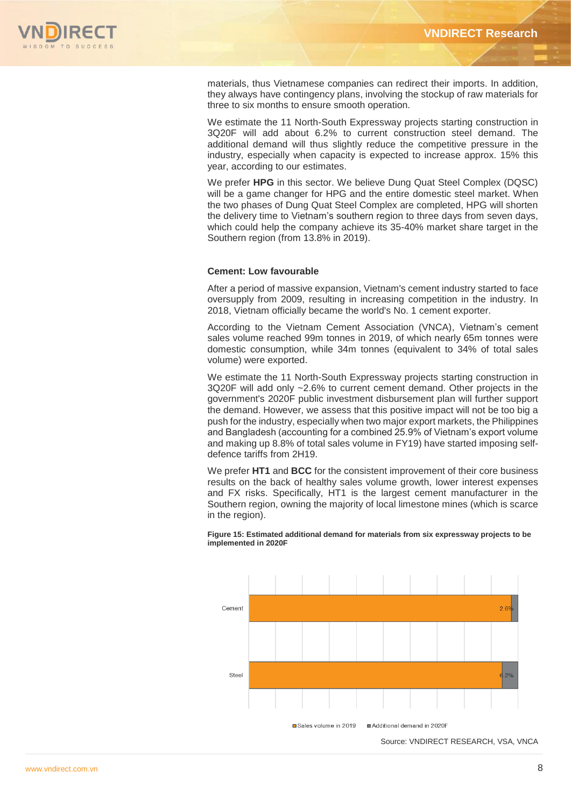

materials, thus Vietnamese companies can redirect their imports. In addition, they always have contingency plans, involving the stockup of raw materials for three to six months to ensure smooth operation.

We estimate the 11 North-South Expressway projects starting construction in 3Q20F will add about 6.2% to current construction steel demand. The additional demand will thus slightly reduce the competitive pressure in the industry, especially when capacity is expected to increase approx. 15% this year, according to our estimates.

We prefer **HPG** in this sector. We believe Dung Quat Steel Complex (DQSC) will be a game changer for HPG and the entire domestic steel market. When the two phases of Dung Quat Steel Complex are completed, HPG will shorten the delivery time to Vietnam's southern region to three days from seven days, which could help the company achieve its 35-40% market share target in the Southern region (from 13.8% in 2019).

# **Cement: Low favourable**

After a period of massive expansion, Vietnam's cement industry started to face oversupply from 2009, resulting in increasing competition in the industry. In 2018, Vietnam officially became the world's No. 1 cement exporter.

According to the Vietnam Cement Association (VNCA), Vietnam's cement sales volume reached 99m tonnes in 2019, of which nearly 65m tonnes were domestic consumption, while 34m tonnes (equivalent to 34% of total sales volume) were exported.

We estimate the 11 North-South Expressway projects starting construction in 3Q20F will add only ~2.6% to current cement demand. Other projects in the government's 2020F public investment disbursement plan will further support the demand. However, we assess that this positive impact will not be too big a push for the industry, especially when two major export markets, the Philippines and Bangladesh (accounting for a combined 25.9% of Vietnam's export volume and making up 8.8% of total sales volume in FY19) have started imposing selfdefence tariffs from 2H19.

We prefer **HT1** and **BCC** for the consistent improvement of their core business results on the back of healthy sales volume growth, lower interest expenses and FX risks. Specifically, HT1 is the largest cement manufacturer in the Southern region, owning the majority of local limestone mines (which is scarce in the region).



**Figure 15: Estimated additional demand for materials from six expressway projects to be implemented in 2020F**

Source: VNDIRECT RESEARCH, VSA, VNCA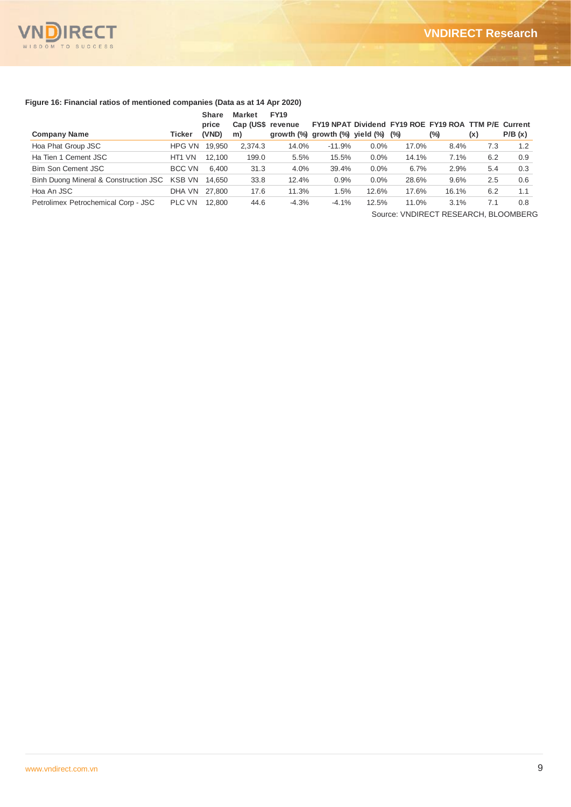

# **Figure 16: Financial ratios of mentioned companies (Data as at 14 Apr 2020)**

|                                       |               | <b>Share</b> | <b>Market</b>     | <b>FY19</b> |                                                      |         |       |       |     |        |
|---------------------------------------|---------------|--------------|-------------------|-------------|------------------------------------------------------|---------|-------|-------|-----|--------|
|                                       |               | price        | Cap (US\$ revenue |             | FY19 NPAT Dividend FY19 ROE FY19 ROA TTM P/E Current |         |       |       |     |        |
| <b>Company Name</b>                   | Ticker        | (VND)        | m)                |             | growth $(\%)$ growth $(\%)$ yield $(\%)$ $(\%)$      |         |       | (%)   | (x) | P/B(x) |
| Hoa Phat Group JSC                    | <b>HPG VN</b> | 19.950       | 2,374.3           | 14.0%       | $-11.9%$                                             | $0.0\%$ | 17.0% | 8.4%  | 7.3 | 1.2    |
| Ha Tien 1 Cement JSC                  | HT1 VN        | 12.100       | 199.0             | 5.5%        | 15.5%                                                | $0.0\%$ | 14.1% | 7.1%  | 6.2 | 0.9    |
| <b>Bim Son Cement JSC</b>             | BCC VN        | 6.400        | 31.3              | 4.0%        | 39.4%                                                | 0.0%    | 6.7%  | 2.9%  | 5.4 | 0.3    |
| Binh Duong Mineral & Construction JSC | KSB VN        | 14.650       | 33.8              | 12.4%       | 0.9%                                                 | $0.0\%$ | 28.6% | 9.6%  | 2.5 | 0.6    |
| Hoa An JSC                            | DHA VN        | 27.800       | 17.6              | 11.3%       | 1.5%                                                 | 12.6%   | 17.6% | 16.1% | 6.2 | 1.1    |
| Petrolimex Petrochemical Corp - JSC   | <b>PLC VN</b> | 12.800       | 44.6              | $-4.3%$     | $-4.1%$                                              | 12.5%   | 11.0% | 3.1%  | 7.1 | 0.8    |
|                                       |               |              |                   |             |                                                      |         |       |       |     |        |

Source: VNDIRECT RESEARCH, BLOOMBERG